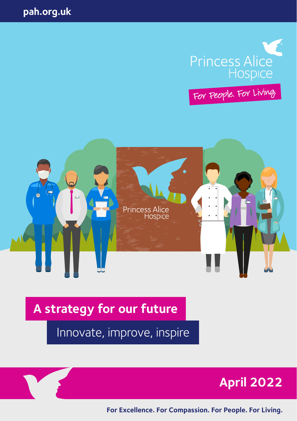

For People. For Living.



**A strategy for our future** 

Innovate, improve, inspire





**For Excellence. For Compassion. For People. For Living.**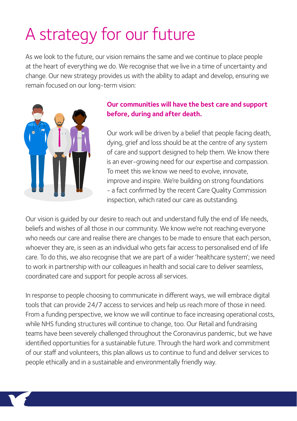### A strategy for our future

As we look to the future, our vision remains the same and we continue to place people at the heart of everything we do. We recognise that we live in a time of uncertainty and change. Our new strategy provides us with the ability to adapt and develop, ensuring we remain focused on our long-term vision:



#### **Our communities will have the best care and support before, during and after death.**

Our work will be driven by a belief that people facing death, dying, grief and loss should be at the centre of any system of care and support designed to help them. We know there is an ever-growing need for our expertise and compassion. To meet this we know we need to evolve, innovate, improve and inspire. We're building on strong foundations - a fact confirmed by the recent Care Quality Commission inspection, which rated our care as outstanding.

Our vision is guided by our desire to reach out and understand fully the end of life needs, beliefs and wishes of all those in our community. We know we're not reaching everyone who needs our care and realise there are changes to be made to ensure that each person, whoever they are, is seen as an individual who gets fair access to personalised end of life care. To do this, we also recognise that we are part of a wider 'healthcare system'; we need to work in partnership with our colleagues in health and social care to deliver seamless, coordinated care and support for people across all services.

In response to people choosing to communicate in different ways, we will embrace digital tools that can provide 24/7 access to services and help us reach more of those in need. From a funding perspective, we know we will continue to face increasing operational costs, while NHS funding structures will continue to change, too. Our Retail and fundraising teams have been severely challenged throughout the Coronavirus pandemic, but we have identified opportunities for a sustainable future. Through the hard work and commitment of our staff and volunteers, this plan allows us to continue to fund and deliver services to people ethically and in a sustainable and environmentally friendly way.

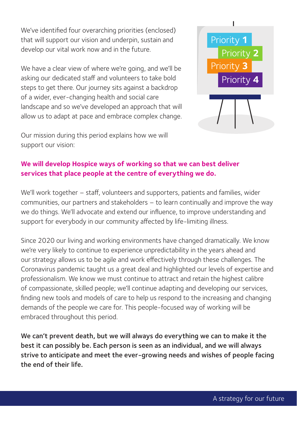We've identified four overarching priorities (enclosed) that will support our vision and underpin, sustain and develop our vital work now and in the future.

We have a clear view of where we're going, and we'll be asking our dedicated staff and volunteers to take bold steps to get there. Our journey sits against a backdrop of a wider, ever-changing health and social care landscape and so we've developed an approach that will allow us to adapt at pace and embrace complex change.



Our mission during this period explains how we will support our vision:

#### **We will develop Hospice ways of working so that we can best deliver services that place people at the centre of everything we do.**

We'll work together – staff, volunteers and supporters, patients and families, wider communities, our partners and stakeholders – to learn continually and improve the way we do things. We'll advocate and extend our influence, to improve understanding and support for everybody in our community affected by life-limiting illness.

Since 2020 our living and working environments have changed dramatically. We know we're very likely to continue to experience unpredictability in the years ahead and our strategy allows us to be agile and work effectively through these challenges. The Coronavirus pandemic taught us a great deal and highlighted our levels of expertise and professionalism. We know we must continue to attract and retain the highest calibre of compassionate, skilled people; we'll continue adapting and developing our services, finding new tools and models of care to help us respond to the increasing and changing demands of the people we care for. This people-focused way of working will be embraced throughout this period.

We can't prevent death, but we will always do everything we can to make it the best it can possibly be. Each person is seen as an individual, and we will always strive to anticipate and meet the ever-growing needs and wishes of people facing the end of their life.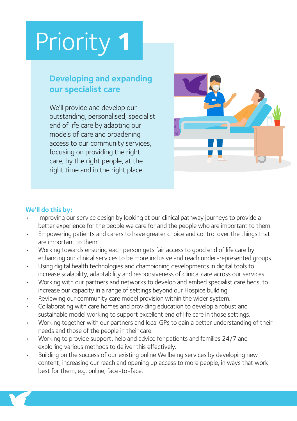### **Developing and expanding our specialist care**

We'll provide and develop our outstanding, personalised, specialist end of life care by adapting our models of care and broadening access to our community services, focusing on providing the right care, by the right people, at the right time and in the right place.



- Improving our service design by looking at our clinical pathway journeys to provide a better experience for the people we care for and the people who are important to them.
- Empowering patients and carers to have greater choice and control over the things that are important to them.
- Working towards ensuring each person gets fair access to good end of life care by enhancing our clinical services to be more inclusive and reach under-represented groups.
- Using digital health technologies and championing developments in digital tools to increase scalability, adaptability and responsiveness of clinical care across our services.
- Working with our partners and networks to develop and embed specialist care beds, to increase our capacity in a range of settings beyond our Hospice building.
- Reviewing our community care model provision within the wider system.
- Collaborating with care homes and providing education to develop a robust and sustainable model working to support excellent end of life care in those settings.
- Working together with our partners and local GPs to gain a better understanding of their needs and those of the people in their care.
- Working to provide support, help and advice for patients and families 24/7 and exploring various methods to deliver this effectively.
- Building on the success of our existing online Wellbeing services by developing new content, increasing our reach and opening up access to more people, in ways that work best for them, e.g. online, face-to-face.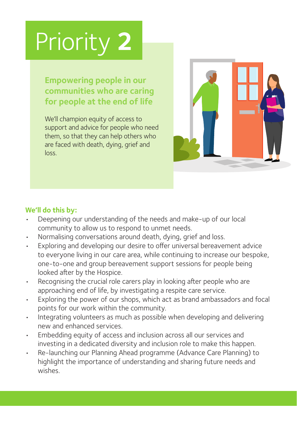**Empowering people in our communities who are caring for people at the end of life**

We'll champion equity of access to support and advice for people who need them, so that they can help others who are faced with death, dying, grief and loss.



- Deepening our understanding of the needs and make-up of our local community to allow us to respond to unmet needs.
- Normalising conversations around death, dving, grief and loss.
- Exploring and developing our desire to offer universal bereavement advice to everyone living in our care area, while continuing to increase our bespoke, one-to-one and group bereavement support sessions for people being looked after by the Hospice.
- Recognising the crucial role carers play in looking after people who are approaching end of life, by investigating a respite care service.
- Exploring the power of our shops, which act as brand ambassadors and focal points for our work within the community.
- Integrating volunteers as much as possible when developing and delivering new and enhanced services.
- Embedding equity of access and inclusion across all our services and investing in a dedicated diversity and inclusion role to make this happen.
- Re-launching our Planning Ahead programme (Advance Care Planning) to highlight the importance of understanding and sharing future needs and wishes.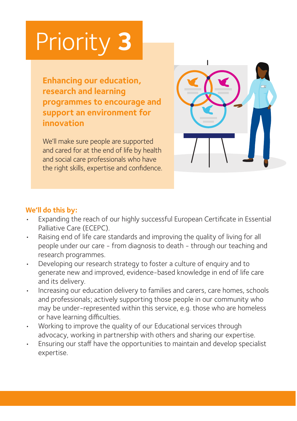**Enhancing our education, research and learning programmes to encourage and support an environment for innovation**

We'll make sure people are supported and cared for at the end of life by health and social care professionals who have the right skills, expertise and confidence.



- Expanding the reach of our highly successful European Certificate in Essential Palliative Care (ECEPC).
- Raising end of life care standards and improving the quality of living for all people under our care - from diagnosis to death - through our teaching and research programmes.
- Developing our research strategy to foster a culture of enquiry and to generate new and improved, evidence-based knowledge in end of life care and its delivery.
- Increasing our education delivery to families and carers, care homes, schools and professionals; actively supporting those people in our community who may be under-represented within this service, e.g. those who are homeless or have learning difficulties.
- Working to improve the quality of our Educational services through advocacy, working in partnership with others and sharing our expertise.
- Ensuring our staff have the opportunities to maintain and develop specialist expertise.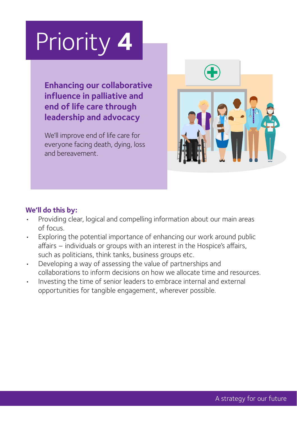**Enhancing our collaborative influence in palliative and end of life care through leadership and advocacy**

We'll improve end of life care for everyone facing death, dying, loss and bereavement.



- Providing clear, logical and compelling information about our main areas of focus.
- Exploring the potential importance of enhancing our work around public affairs – individuals or groups with an interest in the Hospice's affairs, such as politicians, think tanks, business groups etc.
- Developing a way of assessing the value of partnerships and collaborations to inform decisions on how we allocate time and resources.
- Investing the time of senior leaders to embrace internal and external opportunities for tangible engagement, wherever possible.